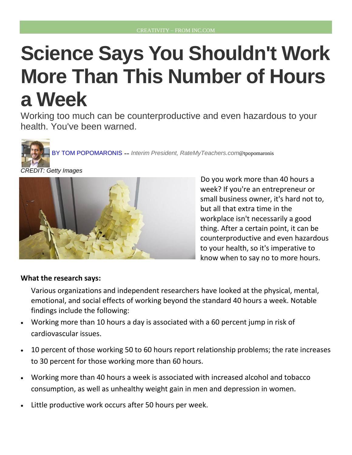## **Science Says You Shouldn't Work More Than This Number of Hours a Week**

Working too much can be counterproductive and even hazardous to your health. You've been warned.



BY TOM [POPOMARONIS](mailto:BY TOM%20POPOMARONIS) -- *Interim President, RateMyTeachers.com*@[tpopomaronis](http://www.twitter.com/tpopomaronis)

*CREDIT: Getty Images*



Do you work [more than 40 hours a](http://www.inc.com/jessica-stillman/why-working-more-than-40-hours-a-week-is-useless.html)  [week?](http://www.inc.com/jessica-stillman/why-working-more-than-40-hours-a-week-is-useless.html) If you're an entrepreneur or small business owner, it's hard not to, but all that extra time in the workplace [isn't necessarily a good](http://www.inc.com/jessica-stillman/5-signs-you-re-seriously-overworked.html)  [thing.](http://www.inc.com/jessica-stillman/5-signs-you-re-seriously-overworked.html) After a certain point, [it can be](http://www.inc.com/michael-simmons/are-you-overworking-9-signs-that-you-re-on-track-for-a-breakdown.html)  [counterproductive](http://www.inc.com/michael-simmons/are-you-overworking-9-signs-that-you-re-on-track-for-a-breakdown.html) and even [hazardous](http://oem.bmj.com/content/62/9/588.full)  [to your health,](http://oem.bmj.com/content/62/9/588.full) so it's imperative to know when to say no to more hours.

## **What the research says:**

[Various organizations and independent researchers](http://www.cdc.gov/niosh/docs/2004-143/pdfs/2004-143.pdf) have looked at the physical, mental, emotional, and social effects of working [beyond the standard 40 hours a week.](http://www.circadian.com/blog/item/22-5-negative-effects-of-high-overtime-levels.html?tmpl=component&print=1#.Vy_9HxUrJ8c) Notable findings include the following:

- Working more than 10 hours a day is associated with a 60 percent jump in risk of cardiovascular issues.
- 10 percent of those working 50 to 60 hours report relationship problems; the rate increases to 30 percent for those working more than 60 hours.
- Working more than 40 hours a week is associated with increased alcohol and tobacco consumption, as well as unhealthy weight gain in men and depression in women.
- Little productive work occurs after 50 hours per week.